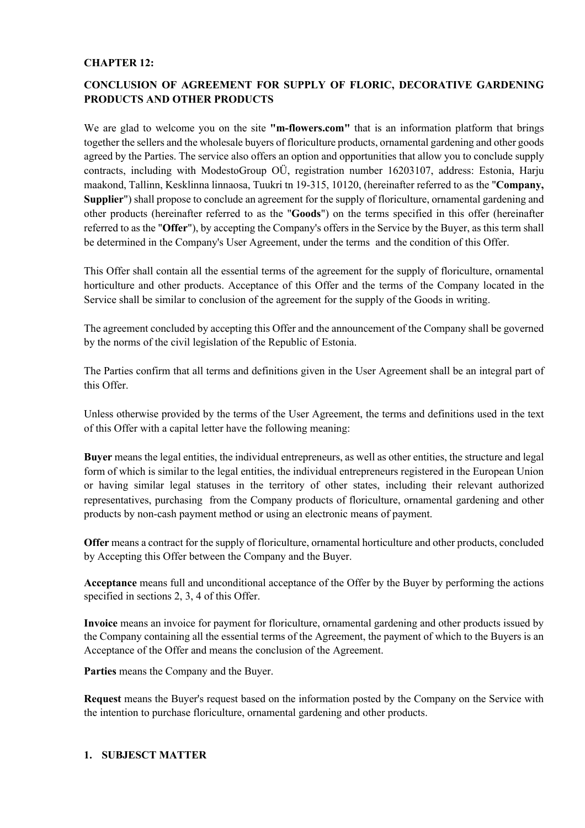#### **CHAPTER 12:**

# **CONCLUSION OF AGREEMENT FOR SUPPLY OF FLORIC, DECORATIVE GARDENING PRODUCTS AND OTHER PRODUCTS**

We are glad to welcome you on the site **"m-flowers.com"** that is an information platform that brings together the sellers and the wholesale buyers of floriculture products, ornamental gardening and other goods agreed by the Parties. The service also offers an option and opportunities that allow you to conclude supply contracts, including with ModestoGroup OÜ, registration number 16203107, address: Estonia, Harju maakond, Tallinn, Kesklinna linnaosa, Tuukri tn 19-315, 10120, (hereinafter referred to as the "**Company, Supplier**") shall propose to conclude an agreement for the supply of floriculture, ornamental gardening and other products (hereinafter referred to as the "**Goods**") on the terms specified in this offer (hereinafter referred to as the "**Offer**"), by accepting the Company's offers in the Service by the Buyer, as this term shall be determined in the Company's User Agreement, under the terms and the condition of this Offer.

This Offer shall contain all the essential terms of the agreement for the supply of floriculture, ornamental horticulture and other products. Acceptance of this Offer and the terms of the Company located in the Service shall be similar to conclusion of the agreement for the supply of the Goods in writing.

The agreement concluded by accepting this Offer and the announcement of the Company shall be governed by the norms of the civil legislation of the Republic of Estonia.

The Parties confirm that all terms and definitions given in the User Agreement shall be an integral part of this Offer.

Unless otherwise provided by the terms of the User Agreement, the terms and definitions used in the text of this Offer with a capital letter have the following meaning:

**Buyer** means the legal entities, the individual entrepreneurs, as well as other entities, the structure and legal form of which is similar to the legal entities, the individual entrepreneurs registered in the European Union or having similar legal statuses in the territory of other states, including their relevant authorized representatives, purchasing from the Company products of floriculture, ornamental gardening and other products by non-cash payment method or using an electronic means of payment.

**Offer** means a contract for the supply of floriculture, ornamental horticulture and other products, concluded by Accepting this Offer between the Company and the Buyer.

**Acceptance** means full and unconditional acceptance of the Offer by the Buyer by performing the actions specified in sections 2, 3, 4 of this Offer.

**Invoice** means an invoice for payment for floriculture, ornamental gardening and other products issued by the Company containing all the essential terms of the Agreement, the payment of which to the Buyers is an Acceptance of the Offer and means the conclusion of the Agreement.

**Parties** means the Company and the Buyer.

**Request** means the Buyer's request based on the information posted by the Company on the Service with the intention to purchase floriculture, ornamental gardening and other products.

#### **1. SUBJESCT MATTER**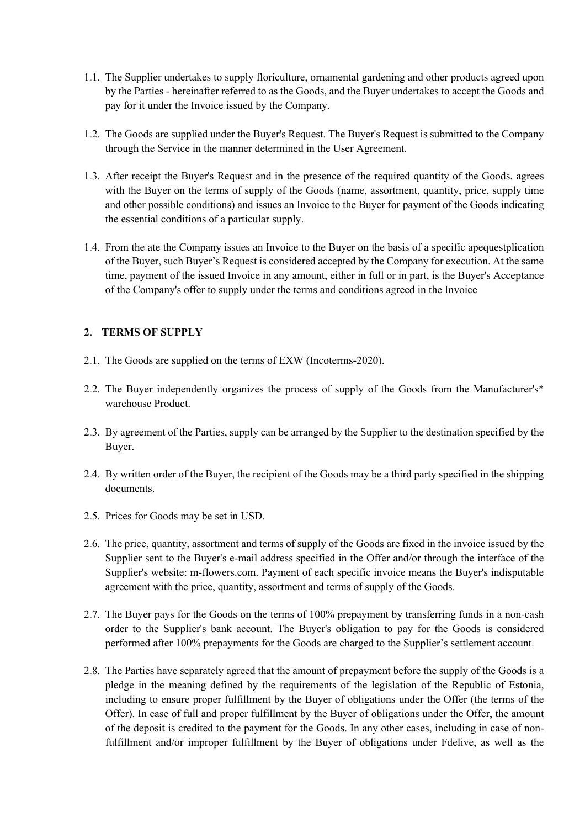- 1.1. The Supplier undertakes to supply floriculture, ornamental gardening and other products agreed upon by the Parties - hereinafter referred to as the Goods, and the Buyer undertakes to accept the Goods and pay for it under the Invoice issued by the Company.
- 1.2. The Goods are supplied under the Buyer's Request. The Buyer's Request is submitted to the Company through the Service in the manner determined in the User Agreement.
- 1.3. After receipt the Buyer's Request and in the presence of the required quantity of the Goods, agrees with the Buyer on the terms of supply of the Goods (name, assortment, quantity, price, supply time and other possible conditions) and issues an Invoice to the Buyer for payment of the Goods indicating the essential conditions of a particular supply.
- 1.4. From the ate the Company issues an Invoice to the Buyer on the basis of a specific apequestplication of the Buyer, such Buyer's Request is considered accepted by the Company for execution. At the same time, payment of the issued Invoice in any amount, either in full or in part, is the Buyer's Acceptance of the Company's offer to supply under the terms and conditions agreed in the Invoice

### **2. TERMS OF SUPPLY**

- 2.1. The Goods are supplied on the terms of EXW (Incoterms-2020).
- 2.2. The Buyer independently organizes the process of supply of the Goods from the Manufacturer's\* warehouse Product.
- 2.3. By agreement of the Parties, supply can be arranged by the Supplier to the destination specified by the Buyer.
- 2.4. By written order of the Buyer, the recipient of the Goods may be a third party specified in the shipping documents.
- 2.5. Prices for Goods may be set in USD.
- 2.6. The price, quantity, assortment and terms of supply of the Goods are fixed in the invoice issued by the Supplier sent to the Buyer's e-mail address specified in the Offer and/or through the interface of the Supplier's website: m-flowers.com. Payment of each specific invoice means the Buyer's indisputable agreement with the price, quantity, assortment and terms of supply of the Goods.
- 2.7. The Buyer pays for the Goods on the terms of 100% prepayment by transferring funds in a non-cash order to the Supplier's bank account. The Buyer's obligation to pay for the Goods is considered performed after 100% prepayments for the Goods are charged to the Supplier's settlement account.
- 2.8. The Parties have separately agreed that the amount of prepayment before the supply of the Goods is a pledge in the meaning defined by the requirements of the legislation of the Republic of Estonia, including to ensure proper fulfillment by the Buyer of obligations under the Offer (the terms of the Offer). In case of full and proper fulfillment by the Buyer of obligations under the Offer, the amount of the deposit is credited to the payment for the Goods. In any other cases, including in case of nonfulfillment and/or improper fulfillment by the Buyer of obligations under Fdelive, as well as the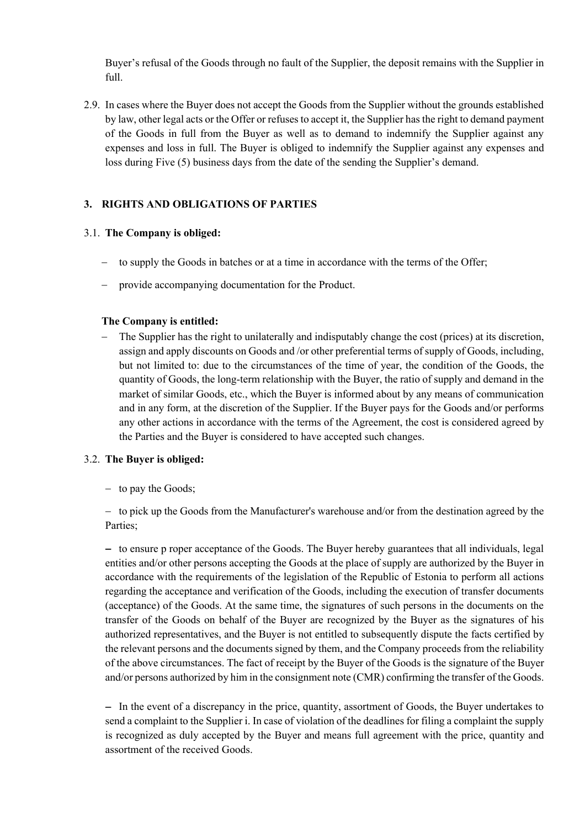Buyer's refusal of the Goods through no fault of the Supplier, the deposit remains with the Supplier in full.

2.9. In cases where the Buyer does not accept the Goods from the Supplier without the grounds established by law, other legal acts or the Offer or refuses to accept it, the Supplier has the right to demand payment of the Goods in full from the Buyer as well as to demand to indemnify the Supplier against any expenses and loss in full. The Buyer is obliged to indemnify the Supplier against any expenses and loss during Five (5) business days from the date of the sending the Supplier's demand.

# **3. RIGHTS AND OBLIGATIONS OF PARTIES**

#### 3.1. **The Company is obliged:**

- to supply the Goods in batches or at a time in accordance with the terms of the Offer;
- provide accompanying documentation for the Product.

#### **The Company is entitled:**

- The Supplier has the right to unilaterally and indisputably change the cost (prices) at its discretion, assign and apply discounts on Goods and /or other preferential terms of supply of Goods, including, but not limited to: due to the circumstances of the time of year, the condition of the Goods, the quantity of Goods, the long-term relationship with the Buyer, the ratio of supply and demand in the market of similar Goods, etc., which the Buyer is informed about by any means of communication and in any form, at the discretion of the Supplier. If the Buyer pays for the Goods and/or performs any other actions in accordance with the terms of the Agreement, the cost is considered agreed by the Parties and the Buyer is considered to have accepted such changes.

#### 3.2. **The Buyer is obliged:**

- to pay the Goods;

- to pick up the Goods from the Manufacturer's warehouse and/or from the destination agreed by the Parties;

- to ensure p roper acceptance of the Goods. The Buyer hereby guarantees that all individuals, legal entities and/or other persons accepting the Goods at the place of supply are authorized by the Buyer in accordance with the requirements of the legislation of the Republic of Estonia to perform all actions regarding the acceptance and verification of the Goods, including the execution of transfer documents (acceptance) of the Goods. At the same time, the signatures of such persons in the documents on the transfer of the Goods on behalf of the Buyer are recognized by the Buyer as the signatures of his authorized representatives, and the Buyer is not entitled to subsequently dispute the facts certified by the relevant persons and the documents signed by them, and the Company proceeds from the reliability of the above circumstances. The fact of receipt by the Buyer of the Goods is the signature of the Buyer and/or persons authorized by him in the consignment note (CMR) confirming the transfer of the Goods.

- In the event of a discrepancy in the price, quantity, assortment of Goods, the Buyer undertakes to send a complaint to the Supplier i. In case of violation of the deadlines for filing a complaint the supply is recognized as duly accepted by the Buyer and means full agreement with the price, quantity and assortment of the received Goods.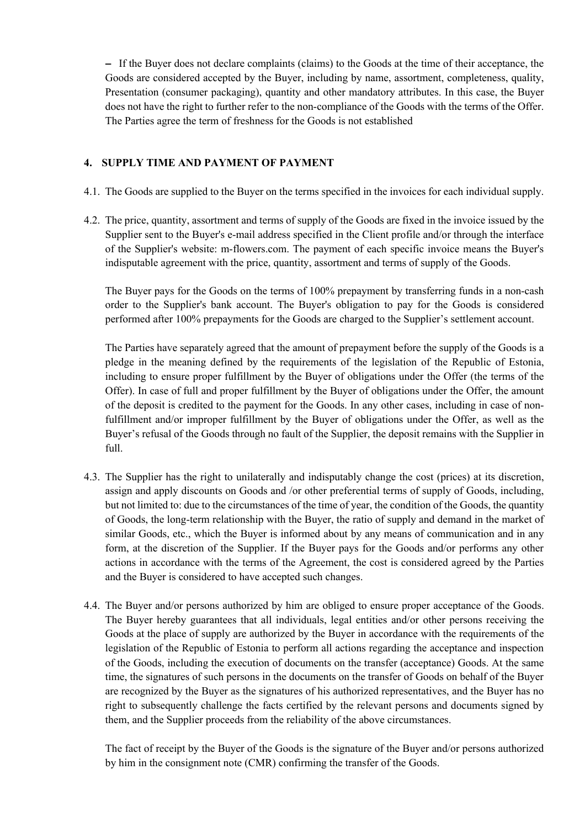- If the Buyer does not declare complaints (claims) to the Goods at the time of their acceptance, the Goods are considered accepted by the Buyer, including by name, assortment, completeness, quality, Presentation (consumer packaging), quantity and other mandatory attributes. In this case, the Buyer does not have the right to further refer to the non-compliance of the Goods with the terms of the Offer. The Parties agree the term of freshness for the Goods is not established

#### **4. SUPPLY TIME AND PAYMENT OF PAYMENT**

- 4.1. The Goods are supplied to the Buyer on the terms specified in the invoices for each individual supply.
- 4.2. The price, quantity, assortment and terms of supply of the Goods are fixed in the invoice issued by the Supplier sent to the Buyer's e-mail address specified in the Client profile and/or through the interface of the Supplier's website: m-flowers.com. The payment of each specific invoice means the Buyer's indisputable agreement with the price, quantity, assortment and terms of supply of the Goods.

The Buyer pays for the Goods on the terms of 100% prepayment by transferring funds in a non-cash order to the Supplier's bank account. The Buyer's obligation to pay for the Goods is considered performed after 100% prepayments for the Goods are charged to the Supplier's settlement account.

The Parties have separately agreed that the amount of prepayment before the supply of the Goods is a pledge in the meaning defined by the requirements of the legislation of the Republic of Estonia, including to ensure proper fulfillment by the Buyer of obligations under the Offer (the terms of the Offer). In case of full and proper fulfillment by the Buyer of obligations under the Offer, the amount of the deposit is credited to the payment for the Goods. In any other cases, including in case of nonfulfillment and/or improper fulfillment by the Buyer of obligations under the Offer, as well as the Buyer's refusal of the Goods through no fault of the Supplier, the deposit remains with the Supplier in full.

- 4.3. The Supplier has the right to unilaterally and indisputably change the cost (prices) at its discretion, assign and apply discounts on Goods and /or other preferential terms of supply of Goods, including, but not limited to: due to the circumstances of the time of year, the condition of the Goods, the quantity of Goods, the long-term relationship with the Buyer, the ratio of supply and demand in the market of similar Goods, etc., which the Buyer is informed about by any means of communication and in any form, at the discretion of the Supplier. If the Buyer pays for the Goods and/or performs any other actions in accordance with the terms of the Agreement, the cost is considered agreed by the Parties and the Buyer is considered to have accepted such changes.
- 4.4. The Buyer and/or persons authorized by him are obliged to ensure proper acceptance of the Goods. The Buyer hereby guarantees that all individuals, legal entities and/or other persons receiving the Goods at the place of supply are authorized by the Buyer in accordance with the requirements of the legislation of the Republic of Estonia to perform all actions regarding the acceptance and inspection of the Goods, including the execution of documents on the transfer (acceptance) Goods. At the same time, the signatures of such persons in the documents on the transfer of Goods on behalf of the Buyer are recognized by the Buyer as the signatures of his authorized representatives, and the Buyer has no right to subsequently challenge the facts certified by the relevant persons and documents signed by them, and the Supplier proceeds from the reliability of the above circumstances.

The fact of receipt by the Buyer of the Goods is the signature of the Buyer and/or persons authorized by him in the consignment note (CMR) confirming the transfer of the Goods.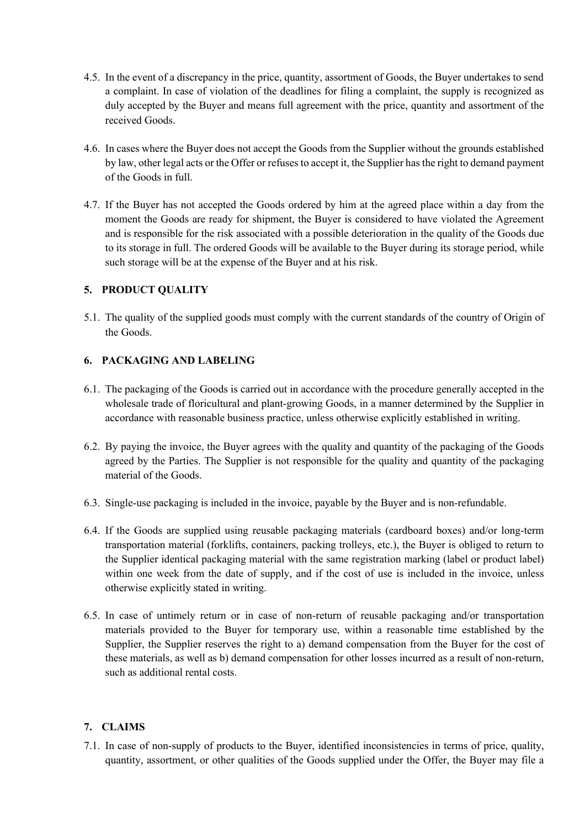- 4.5. In the event of a discrepancy in the price, quantity, assortment of Goods, the Buyer undertakes to send a complaint. In case of violation of the deadlines for filing a complaint, the supply is recognized as duly accepted by the Buyer and means full agreement with the price, quantity and assortment of the received Goods.
- 4.6. In cases where the Buyer does not accept the Goods from the Supplier without the grounds established by law, other legal acts or the Offer or refuses to accept it, the Supplier has the right to demand payment of the Goods in full.
- 4.7. If the Buyer has not accepted the Goods ordered by him at the agreed place within a day from the moment the Goods are ready for shipment, the Buyer is considered to have violated the Agreement and is responsible for the risk associated with a possible deterioration in the quality of the Goods due to its storage in full. The ordered Goods will be available to the Buyer during its storage period, while such storage will be at the expense of the Buyer and at his risk.

### **5. PRODUCT QUALITY**

5.1. The quality of the supplied goods must comply with the current standards of the country of Origin of the Goods.

### **6. PACKAGING AND LABELING**

- 6.1. The packaging of the Goods is carried out in accordance with the procedure generally accepted in the wholesale trade of floricultural and plant-growing Goods, in a manner determined by the Supplier in accordance with reasonable business practice, unless otherwise explicitly established in writing.
- 6.2. By paying the invoice, the Buyer agrees with the quality and quantity of the packaging of the Goods agreed by the Parties. The Supplier is not responsible for the quality and quantity of the packaging material of the Goods.
- 6.3. Single-use packaging is included in the invoice, payable by the Buyer and is non-refundable.
- 6.4. If the Goods are supplied using reusable packaging materials (cardboard boxes) and/or long-term transportation material (forklifts, containers, packing trolleys, etc.), the Buyer is obliged to return to the Supplier identical packaging material with the same registration marking (label or product label) within one week from the date of supply, and if the cost of use is included in the invoice, unless otherwise explicitly stated in writing.
- 6.5. In case of untimely return or in case of non-return of reusable packaging and/or transportation materials provided to the Buyer for temporary use, within a reasonable time established by the Supplier, the Supplier reserves the right to a) demand compensation from the Buyer for the cost of these materials, as well as b) demand compensation for other losses incurred as a result of non-return, such as additional rental costs.

### **7. CLAIMS**

7.1. In case of non-supply of products to the Buyer, identified inconsistencies in terms of price, quality, quantity, assortment, or other qualities of the Goods supplied under the Offer, the Buyer may file a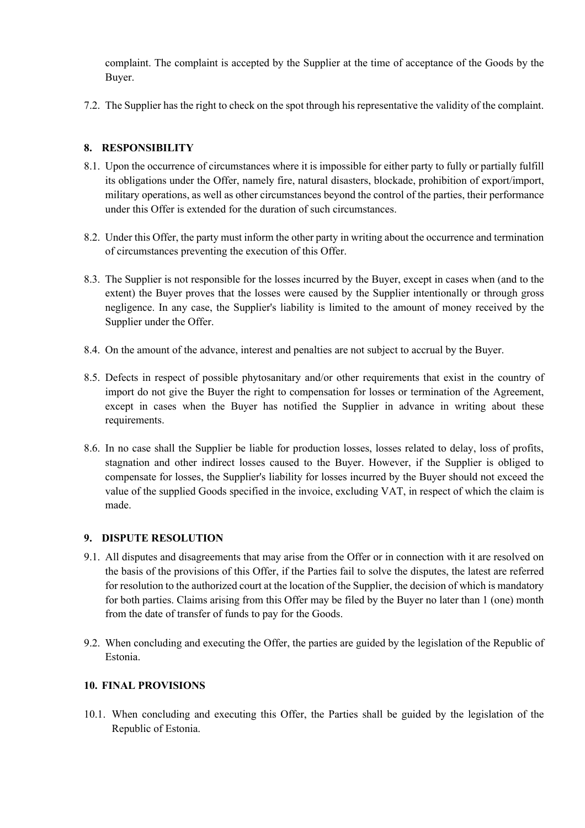complaint. The complaint is accepted by the Supplier at the time of acceptance of the Goods by the Buyer.

7.2. The Supplier has the right to check on the spot through his representative the validity of the complaint.

# **8. RESPONSIBILITY**

- 8.1. Upon the occurrence of circumstances where it is impossible for either party to fully or partially fulfill its obligations under the Offer, namely fire, natural disasters, blockade, prohibition of export/import, military operations, as well as other circumstances beyond the control of the parties, their performance under this Offer is extended for the duration of such circumstances.
- 8.2. Under this Offer, the party must inform the other party in writing about the occurrence and termination of circumstances preventing the execution of this Offer.
- 8.3. The Supplier is not responsible for the losses incurred by the Buyer, except in cases when (and to the extent) the Buyer proves that the losses were caused by the Supplier intentionally or through gross negligence. In any case, the Supplier's liability is limited to the amount of money received by the Supplier under the Offer.
- 8.4. On the amount of the advance, interest and penalties are not subject to accrual by the Buyer.
- 8.5. Defects in respect of possible phytosanitary and/or other requirements that exist in the country of import do not give the Buyer the right to compensation for losses or termination of the Agreement, except in cases when the Buyer has notified the Supplier in advance in writing about these requirements.
- 8.6. In no case shall the Supplier be liable for production losses, losses related to delay, loss of profits, stagnation and other indirect losses caused to the Buyer. However, if the Supplier is obliged to compensate for losses, the Supplier's liability for losses incurred by the Buyer should not exceed the value of the supplied Goods specified in the invoice, excluding VAT, in respect of which the claim is made.

#### **9. DISPUTE RESOLUTION**

- 9.1. All disputes and disagreements that may arise from the Offer or in connection with it are resolved on the basis of the provisions of this Offer, if the Parties fail to solve the disputes, the latest are referred for resolution to the authorized court at the location of the Supplier, the decision of which is mandatory for both parties. Claims arising from this Offer may be filed by the Buyer no later than 1 (one) month from the date of transfer of funds to pay for the Goods.
- 9.2. When concluding and executing the Offer, the parties are guided by the legislation of the Republic of Estonia.

### **10. FINAL PROVISIONS**

10.1. When concluding and executing this Offer, the Parties shall be guided by the legislation of the Republic of Estonia.